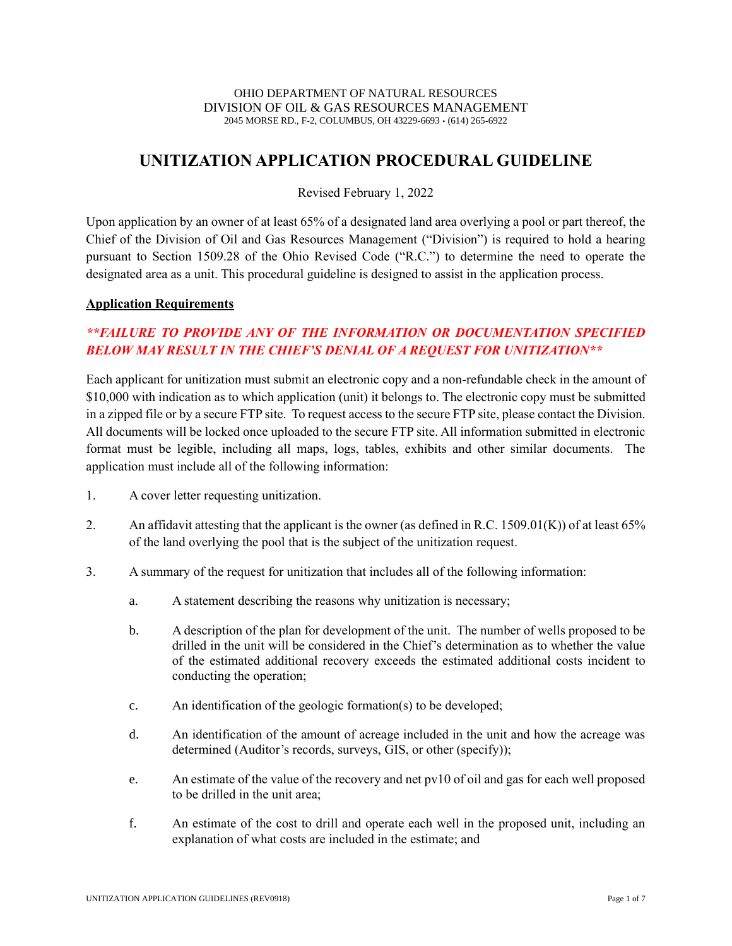# **UNITIZATION APPLICATION PROCEDURAL GUIDELINE**

Revised February 1, 2022

Upon application by an owner of at least 65% of a designated land area overlying a pool or part thereof, the Chief of the Division of Oil and Gas Resources Management ("Division") is required to hold a hearing pursuant to Section 1509.28 of the Ohio Revised Code ("R.C.") to determine the need to operate the designated area as a unit. This procedural guideline is designed to assist in the application process.

#### **Application Requirements**

# *\*\*FAILURE TO PROVIDE ANY OF THE INFORMATION OR DOCUMENTATION SPECIFIED BELOW MAY RESULT IN THE CHIEF'S DENIAL OF A REQUEST FOR UNITIZATION\*\**

Each applicant for unitization must submit an electronic copy and a non-refundable check in the amount of \$10,000 with indication as to which application (unit) it belongs to. The electronic copy must be submitted in a zipped file or by a secure FTP site. To request access to the secure FTP site, please contact the Division. All documents will be locked once uploaded to the secure FTP site. All information submitted in electronic format must be legible, including all maps, logs, tables, exhibits and other similar documents. The application must include all of the following information:

- 1. A cover letter requesting unitization.
- 2. An affidavit attesting that the applicant is the owner (as defined in R.C. 1509.01(K)) of at least 65% of the land overlying the pool that is the subject of the unitization request.
- 3. A summary of the request for unitization that includes all of the following information:
	- a. A statement describing the reasons why unitization is necessary;
	- b. A description of the plan for development of the unit. The number of wells proposed to be drilled in the unit will be considered in the Chief's determination as to whether the value of the estimated additional recovery exceeds the estimated additional costs incident to conducting the operation;
	- c. An identification of the geologic formation(s) to be developed;
	- d. An identification of the amount of acreage included in the unit and how the acreage was determined (Auditor's records, surveys, GIS, or other (specify));
	- e. An estimate of the value of the recovery and net pv10 of oil and gas for each well proposed to be drilled in the unit area;
	- f. An estimate of the cost to drill and operate each well in the proposed unit, including an explanation of what costs are included in the estimate; and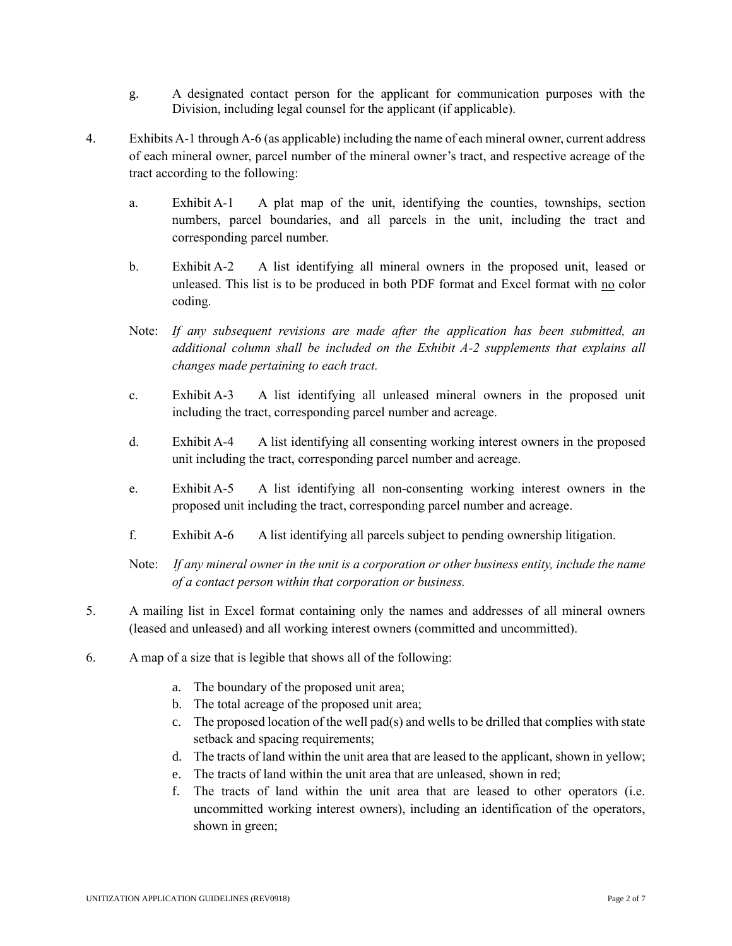- g. A designated contact person for the applicant for communication purposes with the Division, including legal counsel for the applicant (if applicable).
- 4. Exhibits A-1 through A-6 (as applicable) including the name of each mineral owner, current address of each mineral owner, parcel number of the mineral owner's tract, and respective acreage of the tract according to the following:
	- a. Exhibit A-1 A plat map of the unit, identifying the counties, townships, section numbers, parcel boundaries, and all parcels in the unit, including the tract and corresponding parcel number.
	- b. Exhibit A-2 A list identifying all mineral owners in the proposed unit, leased or unleased. This list is to be produced in both PDF format and Excel format with no color coding.
	- Note: *If any subsequent revisions are made after the application has been submitted, an additional column shall be included on the Exhibit A-2 supplements that explains all changes made pertaining to each tract.*
	- c. Exhibit A-3 A list identifying all unleased mineral owners in the proposed unit including the tract, corresponding parcel number and acreage.
	- d. Exhibit A-4 A list identifying all consenting working interest owners in the proposed unit including the tract, corresponding parcel number and acreage.
	- e. Exhibit A-5 A list identifying all non-consenting working interest owners in the proposed unit including the tract, corresponding parcel number and acreage.
	- f. Exhibit A-6 A list identifying all parcels subject to pending ownership litigation.
	- Note: *If any mineral owner in the unit is a corporation or other business entity, include the name of a contact person within that corporation or business.*
- 5. A mailing list in Excel format containing only the names and addresses of all mineral owners (leased and unleased) and all working interest owners (committed and uncommitted).
- 6. A map of a size that is legible that shows all of the following:
	- a. The boundary of the proposed unit area;
	- b. The total acreage of the proposed unit area;
	- c. The proposed location of the well pad(s) and wells to be drilled that complies with state setback and spacing requirements;
	- d. The tracts of land within the unit area that are leased to the applicant, shown in yellow;
	- e. The tracts of land within the unit area that are unleased, shown in red;
	- f. The tracts of land within the unit area that are leased to other operators (i.e. uncommitted working interest owners), including an identification of the operators, shown in green;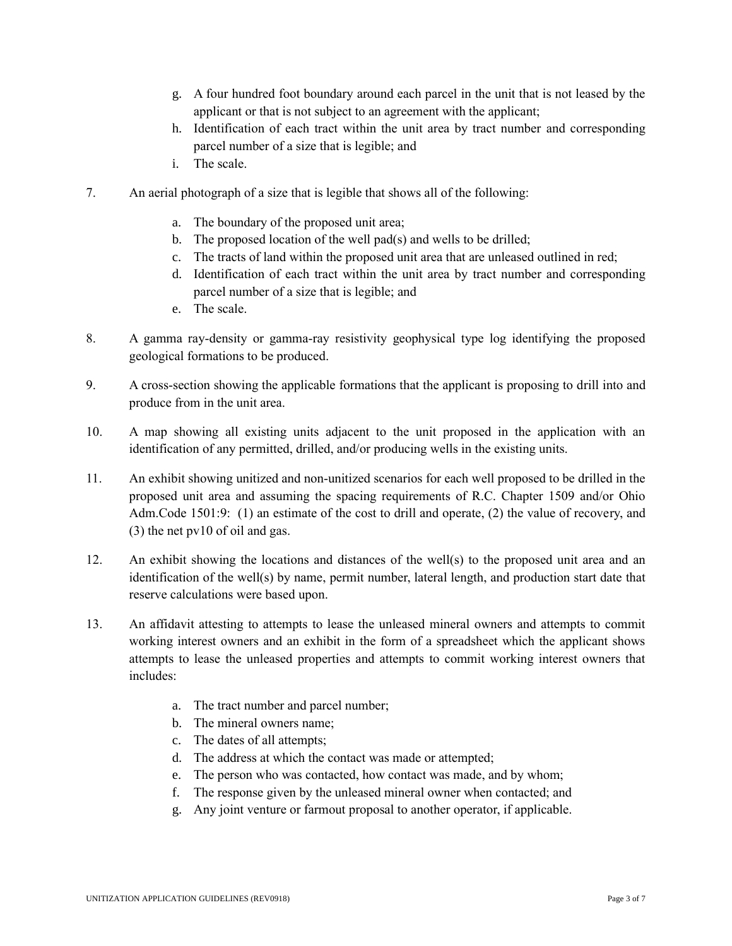- g. A four hundred foot boundary around each parcel in the unit that is not leased by the applicant or that is not subject to an agreement with the applicant;
- h. Identification of each tract within the unit area by tract number and corresponding parcel number of a size that is legible; and
- i. The scale.
- 7. An aerial photograph of a size that is legible that shows all of the following:
	- a. The boundary of the proposed unit area;
	- b. The proposed location of the well pad(s) and wells to be drilled;
	- c. The tracts of land within the proposed unit area that are unleased outlined in red;
	- d. Identification of each tract within the unit area by tract number and corresponding parcel number of a size that is legible; and
	- e. The scale.
- 8. A gamma ray-density or gamma-ray resistivity geophysical type log identifying the proposed geological formations to be produced.
- 9. A cross-section showing the applicable formations that the applicant is proposing to drill into and produce from in the unit area.
- 10. A map showing all existing units adjacent to the unit proposed in the application with an identification of any permitted, drilled, and/or producing wells in the existing units.
- 11. An exhibit showing unitized and non-unitized scenarios for each well proposed to be drilled in the proposed unit area and assuming the spacing requirements of R.C. Chapter 1509 and/or Ohio Adm.Code 1501:9: (1) an estimate of the cost to drill and operate, (2) the value of recovery, and (3) the net pv10 of oil and gas.
- 12. An exhibit showing the locations and distances of the well(s) to the proposed unit area and an identification of the well(s) by name, permit number, lateral length, and production start date that reserve calculations were based upon.
- 13. An affidavit attesting to attempts to lease the unleased mineral owners and attempts to commit working interest owners and an exhibit in the form of a spreadsheet which the applicant shows attempts to lease the unleased properties and attempts to commit working interest owners that includes:
	- a. The tract number and parcel number;
	- b. The mineral owners name;
	- c. The dates of all attempts;
	- d. The address at which the contact was made or attempted;
	- e. The person who was contacted, how contact was made, and by whom;
	- f. The response given by the unleased mineral owner when contacted; and
	- g. Any joint venture or farmout proposal to another operator, if applicable.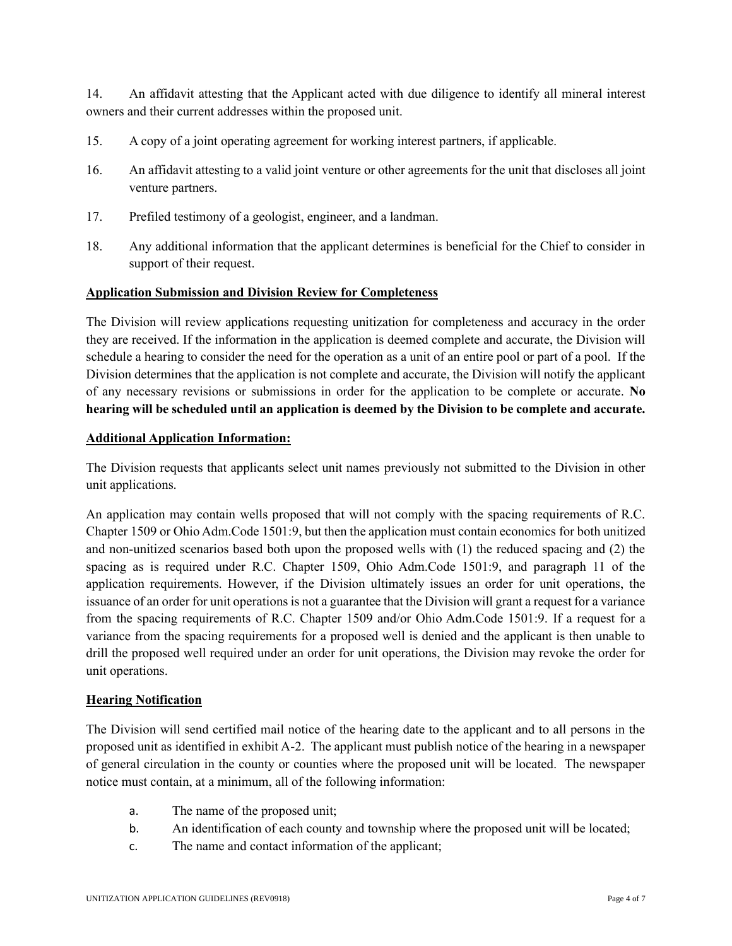14. An affidavit attesting that the Applicant acted with due diligence to identify all mineral interest owners and their current addresses within the proposed unit.

- 15. A copy of a joint operating agreement for working interest partners, if applicable.
- 16. An affidavit attesting to a valid joint venture or other agreements for the unit that discloses all joint venture partners.
- 17. Prefiled testimony of a geologist, engineer, and a landman.
- 18. Any additional information that the applicant determines is beneficial for the Chief to consider in support of their request.

### **Application Submission and Division Review for Completeness**

The Division will review applications requesting unitization for completeness and accuracy in the order they are received. If the information in the application is deemed complete and accurate, the Division will schedule a hearing to consider the need for the operation as a unit of an entire pool or part of a pool. If the Division determines that the application is not complete and accurate, the Division will notify the applicant of any necessary revisions or submissions in order for the application to be complete or accurate. **No hearing will be scheduled until an application is deemed by the Division to be complete and accurate.** 

### **Additional Application Information:**

The Division requests that applicants select unit names previously not submitted to the Division in other unit applications.

An application may contain wells proposed that will not comply with the spacing requirements of R.C. Chapter 1509 or Ohio Adm.Code 1501:9, but then the application must contain economics for both unitized and non-unitized scenarios based both upon the proposed wells with (1) the reduced spacing and (2) the spacing as is required under R.C. Chapter 1509, Ohio Adm.Code 1501:9, and paragraph 11 of the application requirements. However, if the Division ultimately issues an order for unit operations, the issuance of an order for unit operations is not a guarantee that the Division will grant a request for a variance from the spacing requirements of R.C. Chapter 1509 and/or Ohio Adm.Code 1501:9. If a request for a variance from the spacing requirements for a proposed well is denied and the applicant is then unable to drill the proposed well required under an order for unit operations, the Division may revoke the order for unit operations.

### **Hearing Notification**

The Division will send certified mail notice of the hearing date to the applicant and to all persons in the proposed unit as identified in exhibit A-2. The applicant must publish notice of the hearing in a newspaper of general circulation in the county or counties where the proposed unit will be located. The newspaper notice must contain, at a minimum, all of the following information:

- a. The name of the proposed unit;
- b. An identification of each county and township where the proposed unit will be located;
- c. The name and contact information of the applicant;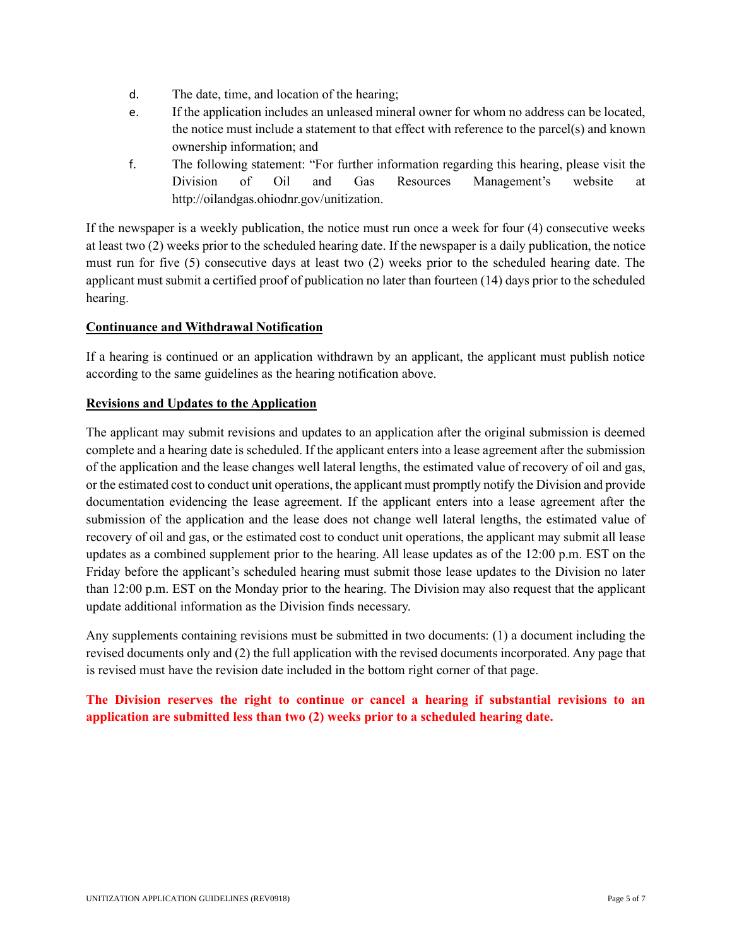- d. The date, time, and location of the hearing;
- e. If the application includes an unleased mineral owner for whom no address can be located, the notice must include a statement to that effect with reference to the parcel(s) and known ownership information; and
- f. The following statement: "For further information regarding this hearing, please visit the Division of Oil and Gas Resources Management's website at http://oilandgas.ohiodnr.gov/unitization.

If the newspaper is a weekly publication, the notice must run once a week for four (4) consecutive weeks at least two (2) weeks prior to the scheduled hearing date. If the newspaper is a daily publication, the notice must run for five (5) consecutive days at least two (2) weeks prior to the scheduled hearing date. The applicant must submit a certified proof of publication no later than fourteen (14) days prior to the scheduled hearing.

### **Continuance and Withdrawal Notification**

If a hearing is continued or an application withdrawn by an applicant, the applicant must publish notice according to the same guidelines as the hearing notification above.

### **Revisions and Updates to the Application**

The applicant may submit revisions and updates to an application after the original submission is deemed complete and a hearing date is scheduled. If the applicant enters into a lease agreement after the submission of the application and the lease changes well lateral lengths, the estimated value of recovery of oil and gas, or the estimated cost to conduct unit operations, the applicant must promptly notify the Division and provide documentation evidencing the lease agreement. If the applicant enters into a lease agreement after the submission of the application and the lease does not change well lateral lengths, the estimated value of recovery of oil and gas, or the estimated cost to conduct unit operations, the applicant may submit all lease updates as a combined supplement prior to the hearing. All lease updates as of the 12:00 p.m. EST on the Friday before the applicant's scheduled hearing must submit those lease updates to the Division no later than 12:00 p.m. EST on the Monday prior to the hearing. The Division may also request that the applicant update additional information as the Division finds necessary.

Any supplements containing revisions must be submitted in two documents: (1) a document including the revised documents only and (2) the full application with the revised documents incorporated. Any page that is revised must have the revision date included in the bottom right corner of that page.

## **The Division reserves the right to continue or cancel a hearing if substantial revisions to an application are submitted less than two (2) weeks prior to a scheduled hearing date.**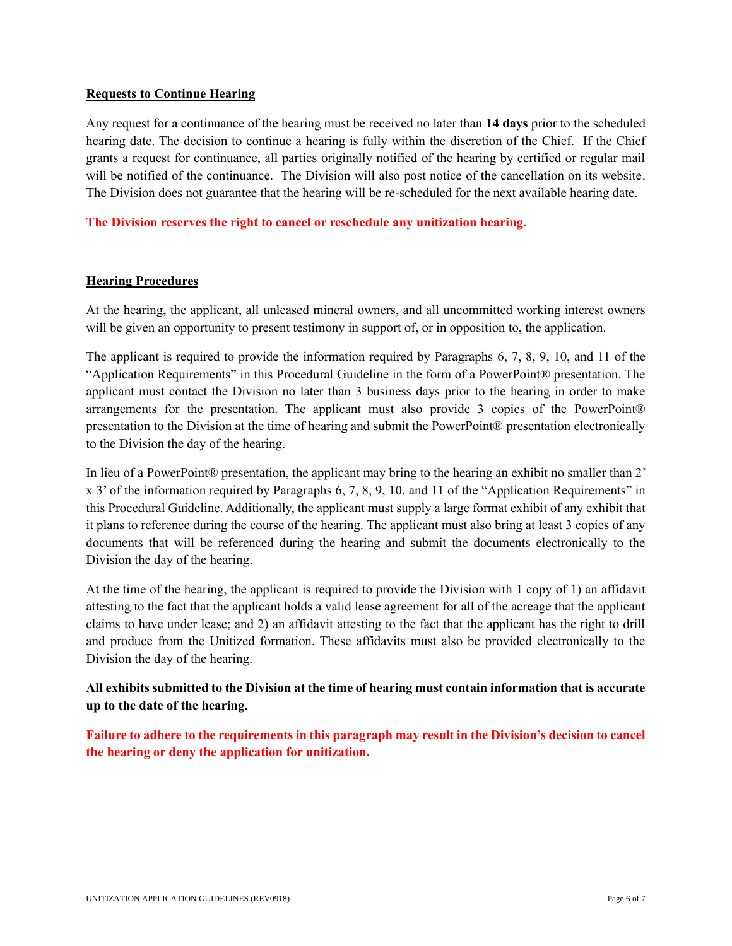#### **Requests to Continue Hearing**

Any request for a continuance of the hearing must be received no later than **14 days** prior to the scheduled hearing date. The decision to continue a hearing is fully within the discretion of the Chief. If the Chief grants a request for continuance, all parties originally notified of the hearing by certified or regular mail will be notified of the continuance. The Division will also post notice of the cancellation on its website. The Division does not guarantee that the hearing will be re-scheduled for the next available hearing date.

**The Division reserves the right to cancel or reschedule any unitization hearing.**

### **Hearing Procedures**

At the hearing, the applicant, all unleased mineral owners, and all uncommitted working interest owners will be given an opportunity to present testimony in support of, or in opposition to, the application.

The applicant is required to provide the information required by Paragraphs 6, 7, 8, 9, 10, and 11 of the "Application Requirements" in this Procedural Guideline in the form of a PowerPoint® presentation. The applicant must contact the Division no later than 3 business days prior to the hearing in order to make arrangements for the presentation. The applicant must also provide 3 copies of the PowerPoint® presentation to the Division at the time of hearing and submit the PowerPoint® presentation electronically to the Division the day of the hearing.

In lieu of a PowerPoint® presentation, the applicant may bring to the hearing an exhibit no smaller than 2' x 3' of the information required by Paragraphs 6, 7, 8, 9, 10, and 11 of the "Application Requirements" in this Procedural Guideline. Additionally, the applicant must supply a large format exhibit of any exhibit that it plans to reference during the course of the hearing. The applicant must also bring at least 3 copies of any documents that will be referenced during the hearing and submit the documents electronically to the Division the day of the hearing.

At the time of the hearing, the applicant is required to provide the Division with 1 copy of 1) an affidavit attesting to the fact that the applicant holds a valid lease agreement for all of the acreage that the applicant claims to have under lease; and 2) an affidavit attesting to the fact that the applicant has the right to drill and produce from the Unitized formation. These affidavits must also be provided electronically to the Division the day of the hearing.

### **All exhibits submitted to the Division at the time of hearing must contain information that is accurate up to the date of the hearing.**

**Failure to adhere to the requirements in this paragraph may result in the Division's decision to cancel the hearing or deny the application for unitization.**